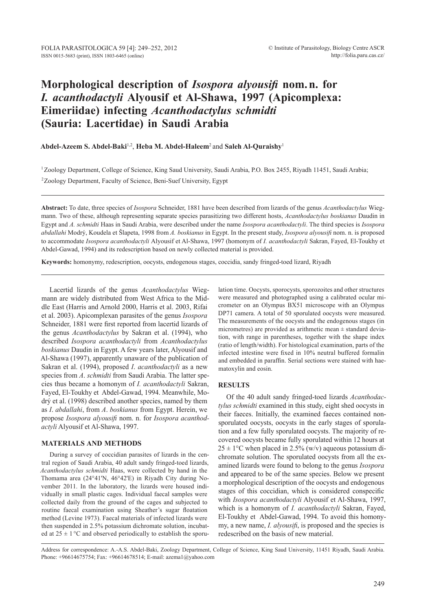# **Morphological description of** *Isospora alyousifi* **nom.n. for**  *I. acanthodactyli* **Alyousif et Al-Shawa, 1997 (Apicomplexa: Eimeriidae) infecting** *Acanthodactylus schmidti* **(Sauria: Lacertidae) in Saudi Arabia**

**Abdel-Azeem S. Abdel-Baki**1,2, **Heba M. Abdel-Haleem**2 and **Saleh Al-Quraishy**<sup>1</sup>

1Zoology Department, College of Science, King Saud University, Saudi Arabia, P.O. Box 2455, Riyadh 11451, Saudi Arabia; 2Zoology Department, Faculty of Science, Beni-Suef University, Egypt

**Abstract:** To date, three species of *Isospora* Schneider, 1881 have been described from lizards of the genus *Acanthodactylus* Wiegmann. Two of these, although representing separate species parasitizing two different hosts, *Acanthodactylus boskianus* Daudin in Egypt and *A. schmidti* Haas in Saudi Arabia, were described under the name *Isospora acanthodactyli*. The third species is *Isospora abdallahi* Modrý, Koudela et Šlapeta, 1998 from *A. boskianus* in Egypt. In the present study, *Isospora alyousifi* nom. n. is proposed to accommodate *Isospora acanthodactyli* Alyousif et Al-Shawa, 1997 (homonym of *I. acanthodactyli* Sakran, Fayed, El-Toukhy et Abdel-Gawad, 1994) and its redescription based on newly collected material is provided.

**Keywords:** homonymy, redescription, oocysts, endogenous stages, coccidia, sandy fringed-toed lizard, Riyadh

Lacertid lizards of the genus *Acanthodactylus* Wiegmann are widely distributed from West Africa to the Middle East (Harris and Arnold 2000, Harris et al. 2003, Rifai et al. 2003). Apicomplexan parasites of the genus *Isospora* Schneider, 1881 were first reported from lacertid lizards of the genus *Acanthodactylus* by Sakran et al. (1994), who described *Isospora acanthodactyli* from *Acanthodactylus boskianus* Daudin in Egypt. A few years later, Alyousif and Al-Shawa (1997), apparently unaware of the publication of Sakran et al. (1994), proposed *I*. *acanthodactyli* as a new species from *A*. *schmidti* from Saudi Arabia. The latter species thus became a homonym of *I. acanthodactyli* Sakran, Fayed, El-Toukhy et Abdel-Gawad, 1994. Meanwhile, Modrý et al. (1998) described another species, named by them as *I*. *abdallahi*, from *A*. *boskianus* from Egypt. Herein, we propose *Isospora alyousifi* nom. n. for *Isospora acanthodactyli* Alyousif et Al-Shawa, 1997.

## **Materials and Methods**

During a survey of coccidian parasites of lizards in the central region of Saudi Arabia, 40 adult sandy fringed-toed lizards, *Acanthodactylus schmidti* Haas, were collected by hand in the Thomama area (24°41'N, 46°42'E) in Riyadh City during November 2011. In the laboratory, the lizards were housed individually in small plastic cages. Individual faecal samples were collected daily from the ground of the cages and subjected to routine faecal examination using Sheather's sugar floatation method (Levine 1973). Faecal materials of infected lizards were then suspended in 2.5% potassium dichromate solution, incubated at  $25 \pm 1$  °C and observed periodically to establish the sporu-

lation time. Oocysts, sporocysts, sporozoites and other structures were measured and photographed using a calibrated ocular micrometer on an Olympus BX51 microscope with an Olympus DP71 camera. A total of 50 sporulated oocysts were measured. The measurements of the oocysts and the endogenous stages (in micrometres) are provided as arithmetic mean  $\pm$  standard deviation, with range in parentheses, together with the shape index (ratio of length/width). For histological examination, parts of the infected intestine were fixed in 10% neutral buffered formalin and embedded in paraffin. Serial sections were stained with haematoxylin and eosin.

### **Results**

Of the 40 adult sandy fringed-toed lizards *Acanthodactylus schmidti* examined in this study, eight shed oocysts in their faeces. Initially, the examined faeces contained nonsporulated oocysts, oocysts in the early stages of sporulation and a few fully sporulated oocysts. The majority of recovered oocysts became fully sporulated within 12 hours at  $25 \pm 1$ °C when placed in 2.5% (w/v) aqueous potassium dichromate solution. The sporulated oocysts from all the examined lizards were found to belong to the genus *Isospora* and appeared to be of the same species. Below we present a morphological description of the oocysts and endogenous stages of this coccidian, which is considered conspecific with *Isospora acanthodactyli* Alyousif et Al-Shawa, 1997, which is a homonym of *I. acanthodactyli* Sakran, Fayed, El-Toukhy et Abdel-Gawad, 1994. To avoid this homonymy, a new name, *I. alyousifi*, is proposed and the species is redescribed on the basis of new material.

Address for correspondence: A.-A.S. Abdel-Baki, Zoology Department, College of Science, King Saud University, 11451 Riyadh, Saudi Arabia. Phone: +96614675754; Fax: +96614678514; E-mail: azema1@yahoo.com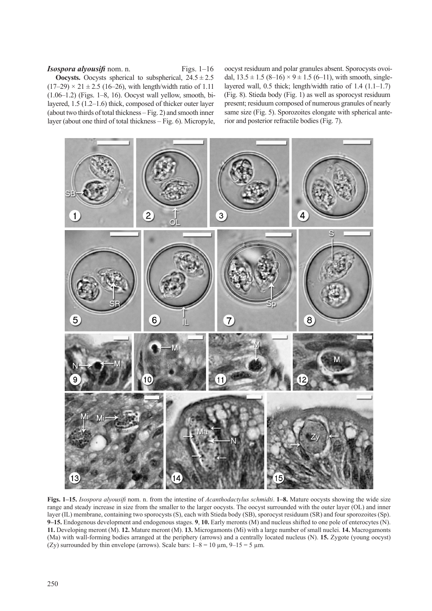## *Isospora alyousifi* nom. n. Figs. 1–16

**Oocysts.** Oocysts spherical to subspherical,  $24.5 \pm 2.5$  $(17–29) \times 21 \pm 2.5$  (16–26), with length/width ratio of 1.11 (1.06–1.2) (Figs. 1–8, 16). Oocyst wall yellow, smooth, bilayered, 1.5 (1.2–1.6) thick, composed of thicker outer layer (about two thirds of total thickness – Fig. 2) and smooth inner layer (about one third of total thickness – Fig. 6). Micropyle,

oocyst residuum and polar granules absent. Sporocysts ovoidal,  $13.5 \pm 1.5$  (8–16)  $\times$  9  $\pm$  1.5 (6–11), with smooth, singlelayered wall, 0.5 thick; length/width ratio of 1.4 (1.1–1.7) (Fig. 8). Stieda body (Fig. 1) as well as sporocyst residuum present; residuum composed of numerous granules of nearly same size (Fig. 5). Sporozoites elongate with spherical anterior and posterior refractile bodies (Fig. 7).



**Figs. 1–15.** *Isospora alyousifi* nom. n. from the intestine of *Acanthodactylus schmidti*. **1–8.** Mature oocysts showing the wide size range and steady increase in size from the smaller to the larger oocysts. The oocyst surrounded with the outer layer (OL) and inner layer (IL) membrane, containing two sporocysts (S), each with Stieda body (SB), sporocyst residuum (SR) and four sporozoites (Sp). **9–15.** Endogenous development and endogenous stages. **9**, **10.** Early meronts (M) and nucleus shifted to one pole of enterocytes (N). **11.** Developing meront (M). **12.** Mature meront (M). **13.** Microgamonts (Mi) with a large number of small nuclei. **14.** Macrogamonts (Ma) with wall-forming bodies arranged at the periphery (arrows) and a centrally located nucleus (N). **15.** Zygote (young oocyst) (Zy) surrounded by thin envelope (arrows). Scale bars:  $1-8 = 10 \mu m$ ,  $9-15 = 5 \mu m$ .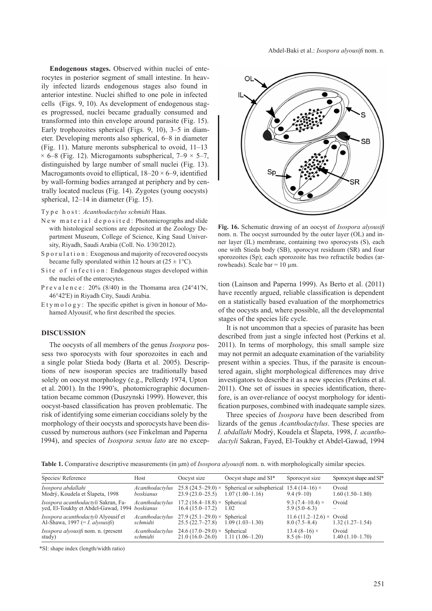**Endogenous stages.** Observed within nuclei of enterocytes in posterior segment of small intestine. In heavily infected lizards endogenous stages also found in anterior intestine. Nuclei shifted to one pole in infected cells (Figs. 9, 10). As development of endogenous stages progressed, nuclei became gradually consumed and transformed into thin envelope around parasite (Fig. 15). Early trophozoites spherical (Figs. 9, 10), 3–5 in diameter. Developing meronts also spherical, 6–8 in diameter (Fig. 11). Mature meronts subspherical to ovoid, 11–13  $\times$  6–8 (Fig. 12). Microgamonts subspherical, 7–9  $\times$  5–7, distinguished by large number of small nuclei (Fig. 13). Macrogamonts ovoid to elliptical,  $18-20 \times 6-9$ , identified by wall-forming bodies arranged at periphery and by centrally located nucleus (Fig. 14). Zygotes (young oocysts) spherical, 12–14 in diameter (Fig. 15).

Ty p e h o s t : *Acanthodactylus schmidti* Haas.

- New material deposited: Photomicrographs and slide with histological sections are deposited at the Zoology Department Museum, College of Science, King Saud University, Riyadh, Saudi Arabia (Coll. No. I/30/2012).
- S p o r u l a t i o n : Exogenous and majority of recovered oocysts became fully sporulated within 12 hours at  $(25 \pm 1^{\circ}C)$ .
- Site of infection: Endogenous stages developed within the nuclei of the enterocytes.
- P r e v a l e n c e : 20% (8/40) in the Thomama area (24°41'N, 46°42'E) in Riyadh City, Saudi Arabia.
- E t y m o  $\log y$ : The specific epithet is given in honour of Mohamed Alyousif, who first described the species.

### **Discussion**

The oocysts of all members of the genus *Isospora* possess two sporocysts with four sporozoites in each and a single polar Stieda body (Barta et al. 2005). Descriptions of new isosporan species are traditionally based solely on oocyst morphology (e.g., Pellerdy 1974, Upton et al. 2001). In the 1990's, photomicrographic documentation became common (Duszynski 1999). However, this oocyst-based classification has proven problematic. The risk of identifying some eimerian coccidians solely by the morphology of their oocysts and sporocysts have been discussed by numerous authors (see Finkelman and Paperna 1994), and species of *Isospora sensu lato* are no excep-



**Fig. 16.** Schematic drawing of an oocyst of *Isospora alyousifi*  nom. n. The oocyst surrounded by the outer layer (OL) and inner layer (IL) membrane, containing two sporocysts (S), each one with Stieda body (SB), sporocyst residuum (SR) and four sporozoites (Sp); each sporozoite has two refractile bodies (arrowheads). Scale bar =  $10 \mu$ m.

tion (Lainson and Paperna 1999). As Berto et al. (2011) have recently argued, reliable classification is dependent on a statistically based evaluation of the morphometrics of the oocysts and, where possible, all the developmental stages of the species life cycle.

It is not uncommon that a species of parasite has been described from just a single infected host (Perkins et al. 2011). In terms of morphology, this small sample size may not permit an adequate examination of the variability present within a species. Thus, if the parasite is encountered again, slight morphological differences may drive investigators to describe it as a new species (Perkins et al. 2011). One set of issues in species identification, therefore, is an over-reliance of oocyst morphology for identification purposes, combined with inadequate sample sizes.

Three species of *Isospora* have been described from lizards of the genus *Acanthodactylus*. These species are *I. abdallahi* Modrý, Koudela et Šlapeta, 1998, *I. acanthodactyli* Sakran, Fayed, El-Toukhy et Abdel-Gawad, 1994

**Table 1.** Comparative descriptive measurements (in μm) of *Isospora alyousifi* nom. n. with morphologically similar species.

| Species/Reference                                                                    | Host                         | Oocyst size                                             | Oocyst shape and SI*                                                     | Sporocyst size                                      | Sporocyst shape and SI*    |
|--------------------------------------------------------------------------------------|------------------------------|---------------------------------------------------------|--------------------------------------------------------------------------|-----------------------------------------------------|----------------------------|
| Isospora abdallahi<br>Modrý, Koudela et Šlapeta, 1998                                | Acanthodactylus<br>boskianus | $23.9(23.0-25.5)$                                       | 25.8 (24.5–29.0) $\times$ Spherical or subspherical<br>$1.07(1.00-1.16)$ | 15.4 $(14-16) \times$<br>$9.4(9-10)$                | Ovoid<br>$1.60(1.50-1.80)$ |
| Isospora acanthodactyli Sakran, Fa-<br>yed, El-Toukhy et Abdel-Gawad, 1994 boskianus | Acanthodactylus              | 17.2 (16.4–18.8) × Spherical<br>$16.4(15.0-17.2)$       | 1.02                                                                     | 9.3 $(7.4-10.4) \times$<br>$5.9(5.0-6.3)$           | Ovoid                      |
| Isospora acanthodactyli Alyousif et<br>Al-Shawa, 1997 (= <i>I. alyousifi</i> )       | Acanthodactylus<br>schmidti  | $27.9(25.1-29.0) \times$ Spherical<br>$25.5(22.7-27.8)$ | $1.09(1.03-1.30)$                                                        | 11.6 $(11.2 - 12.6) \times$ Ovoid<br>$8.0(7.5-8.4)$ | $1.32(1.27-1.54)$          |
| <i>Isospora alyousifi</i> nom. n. (present<br>study)                                 | Acanthodactylus<br>schmidti  | 24.6 (17.0–29.0) × Spherical<br>$21.0(16.0-26.0)$       | $1.11(1.06-1.20)$                                                        | 13.4 $(8-16) \times$<br>$8.5(6-10)$                 | Ovoid<br>$1.40(1.10-1.70)$ |

\*SI: shape index (length/width ratio)